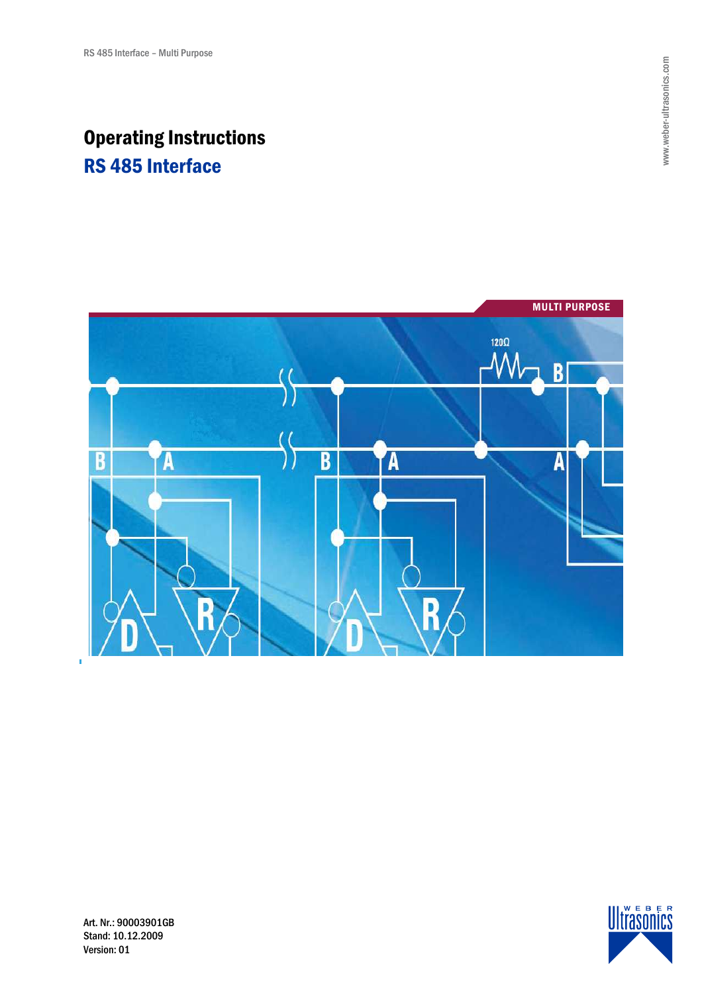# Operating Instructions RS 485 Interface





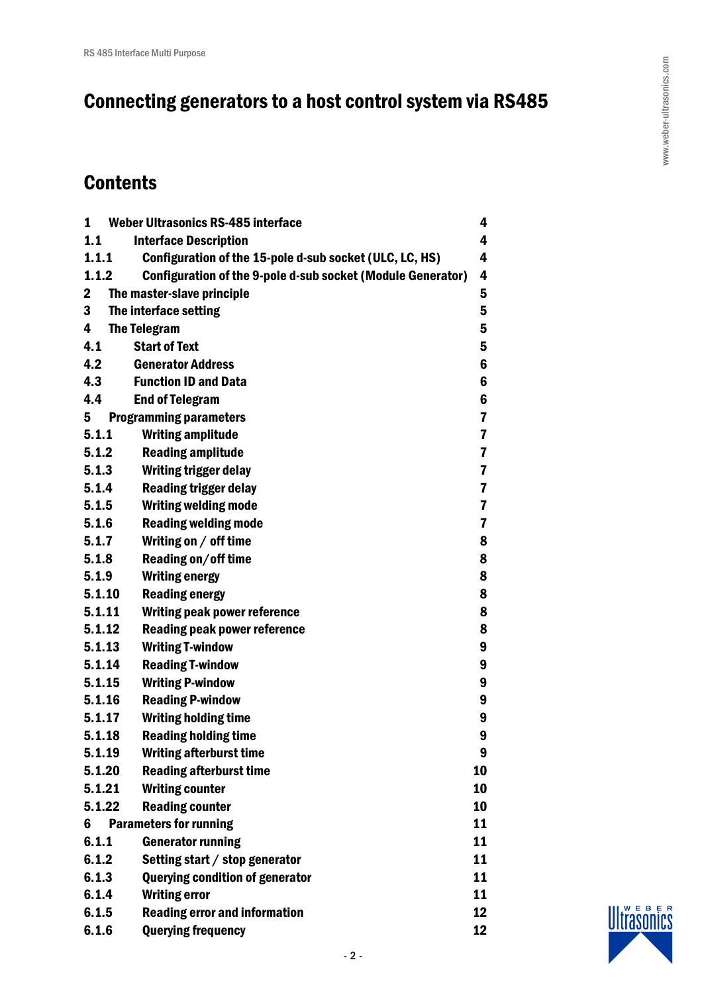# Connecting generators to a host control system via RS485

# **Contents**

| $\mathbf{1}$ | <b>Weber Ultrasonics RS-485 interface</b>                          | 4                       |
|--------------|--------------------------------------------------------------------|-------------------------|
| 1.1          | <b>Interface Description</b>                                       | 4                       |
| 1.1.1        | Configuration of the 15-pole d-sub socket (ULC, LC, HS)            | 4                       |
| 1.1.2        | <b>Configuration of the 9-pole d-sub socket (Module Generator)</b> | 4                       |
| $\mathbf{2}$ | The master-slave principle                                         | 5                       |
| 3            | The interface setting                                              | 5                       |
| 4            | <b>The Telegram</b>                                                | 5                       |
| 4.1          | <b>Start of Text</b>                                               | 5                       |
| 4.2          | <b>Generator Address</b>                                           | 6                       |
| 4.3          | <b>Function ID and Data</b>                                        | 6                       |
| 4.4          | <b>End of Telegram</b>                                             | 6                       |
| 5            | <b>Programming parameters</b>                                      | $\overline{\mathbf{r}}$ |
| 5.1.1        | <b>Writing amplitude</b>                                           | 7                       |
| 5.1.2        | <b>Reading amplitude</b>                                           | $\overline{\mathbf{r}}$ |
| 5.1.3        | <b>Writing trigger delay</b>                                       | $\overline{\mathbf{r}}$ |
| 5.1.4        | <b>Reading trigger delay</b>                                       | $\overline{\mathbf{r}}$ |
| 5.1.5        | <b>Writing welding mode</b>                                        | 7                       |
| 5.1.6        | <b>Reading welding mode</b>                                        | 7                       |
| 5.1.7        | Writing on / off time                                              | 8                       |
| 5.1.8        | Reading on/off time                                                | 8                       |
| 5.1.9        | <b>Writing energy</b>                                              | 8                       |
| 5.1.10       | <b>Reading energy</b>                                              | 8                       |
| 5.1.11       | Writing peak power reference                                       | 8                       |
| 5.1.12       | Reading peak power reference                                       | 8                       |
| 5.1.13       | <b>Writing T-window</b>                                            | 9                       |
| 5.1.14       | <b>Reading T-window</b>                                            | 9                       |
| 5.1.15       | <b>Writing P-window</b>                                            | 9                       |
| 5.1.16       | <b>Reading P-window</b>                                            | 9                       |
| 5.1.17       | <b>Writing holding time</b>                                        | 9                       |
| 5.1.18       | <b>Reading holding time</b>                                        | 9                       |
| 5.1.19       | <b>Writing afterburst time</b>                                     | 9                       |
| 5.1.20       | <b>Reading afterburst time</b>                                     | 10                      |
| 5.1.21       | <b>Writing counter</b>                                             | 10                      |
| 5.1.22       | <b>Reading counter</b>                                             | 10                      |
| 6            | <b>Parameters for running</b>                                      | 11                      |
| 6.1.1        | <b>Generator running</b>                                           | 11                      |
| 6.1.2        | Setting start / stop generator                                     | 11                      |
| 6.1.3        | <b>Querying condition of generator</b>                             | 11                      |
| 6.1.4        | <b>Writing error</b>                                               | 11                      |
| 6.1.5        | <b>Reading error and information</b>                               | 12                      |
| 6.1.6        | <b>Querying frequency</b>                                          | 12                      |

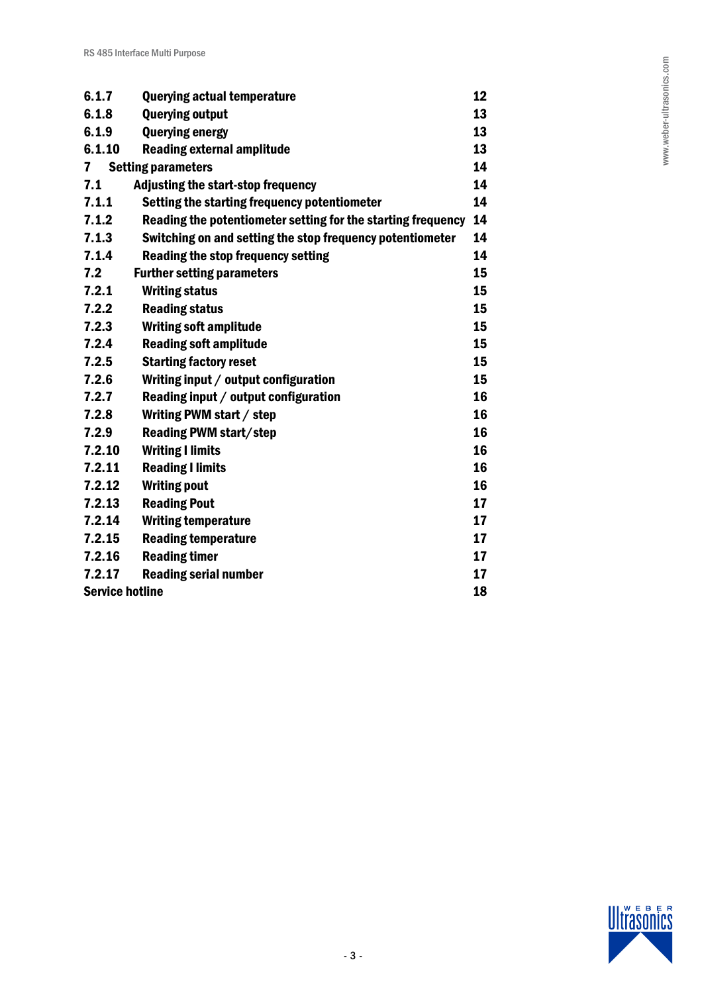| 6.1.7                  | <b>Querying actual temperature</b>                           | 12 |
|------------------------|--------------------------------------------------------------|----|
| 6.1.8                  | <b>Querying output</b>                                       | 13 |
| 6.1.9                  | <b>Querying energy</b>                                       | 13 |
| 6.1.10                 | <b>Reading external amplitude</b>                            | 13 |
| $\mathbf{7}$           | <b>Setting parameters</b>                                    | 14 |
| 7.1                    | <b>Adjusting the start-stop frequency</b>                    | 14 |
| 7.1.1                  | Setting the starting frequency potentiometer                 | 14 |
| 7.1.2                  | Reading the potentiometer setting for the starting frequency | 14 |
| 7.1.3                  | Switching on and setting the stop frequency potentiometer    | 14 |
| 7.1.4                  | <b>Reading the stop frequency setting</b>                    | 14 |
| 7.2                    | <b>Further setting parameters</b>                            | 15 |
| 7.2.1                  | <b>Writing status</b>                                        | 15 |
| 7.2.2                  | <b>Reading status</b>                                        | 15 |
| 7.2.3                  | <b>Writing soft amplitude</b>                                | 15 |
| 7.2.4                  | <b>Reading soft amplitude</b>                                | 15 |
| 7.2.5                  | <b>Starting factory reset</b>                                | 15 |
| 7.2.6                  | Writing input / output configuration                         | 15 |
| 7.2.7                  | Reading input / output configuration                         | 16 |
| 7.2.8                  | Writing PWM start / step                                     | 16 |
| 7.2.9                  | <b>Reading PWM start/step</b>                                | 16 |
| 7.2.10                 | <b>Writing I limits</b>                                      | 16 |
| 7.2.11                 | <b>Reading I limits</b>                                      | 16 |
| 7.2.12                 | <b>Writing pout</b>                                          | 16 |
| 7.2.13                 | <b>Reading Pout</b>                                          | 17 |
| 7.2.14                 | <b>Writing temperature</b>                                   | 17 |
| 7.2.15                 | <b>Reading temperature</b>                                   | 17 |
| 7.2.16                 | <b>Reading timer</b>                                         | 17 |
| 7.2.17                 | <b>Reading serial number</b>                                 | 17 |
| <b>Service hotline</b> |                                                              | 18 |

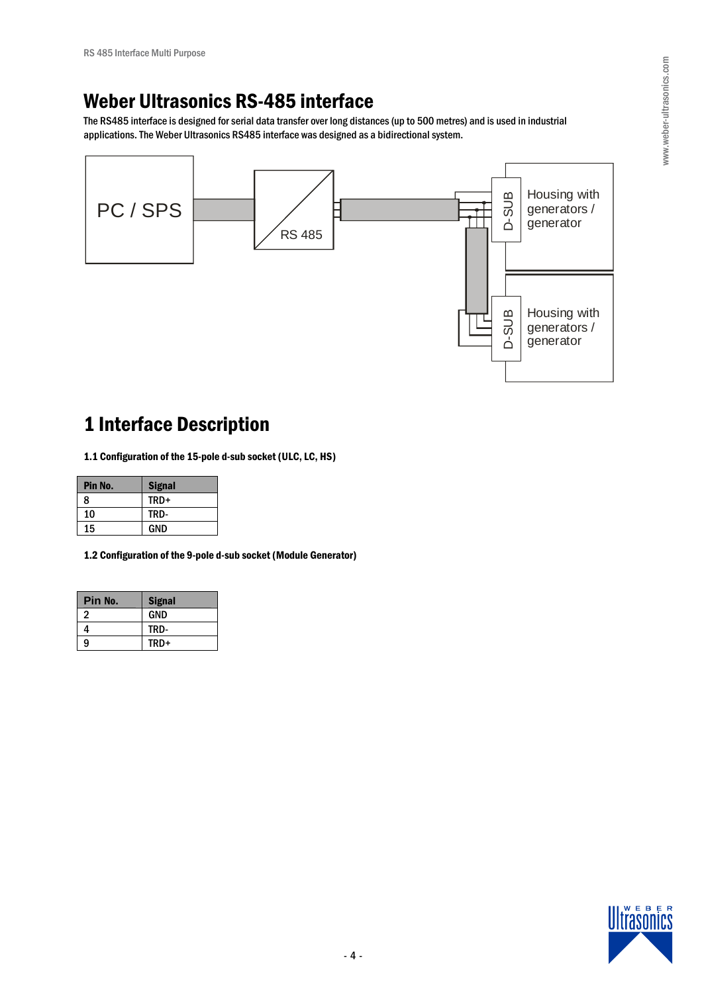# Weber Ultrasonics RS-485 interface

The RS485 interface is designed for serial data transfer over long distances (up to 500 metres) and is used in industrial applications. The Weber Ultrasonics RS485 interface was designed as a bidirectional system.



# 1 Interface Description

1.1 Configuration of the 15-pole d-sub socket (ULC, LC, HS)

| Pin No. | <b>Signal</b> |
|---------|---------------|
| 8       | TRD+          |
| 10      | TRD-          |
| 15      | <b>GND</b>    |

1.2 Configuration of the 9-pole d-sub socket (Module Generator)

| Pin No. | <b>Signal</b> |
|---------|---------------|
| 2       | <b>GND</b>    |
| 4       | TRD-          |
| 9       | TRD+          |

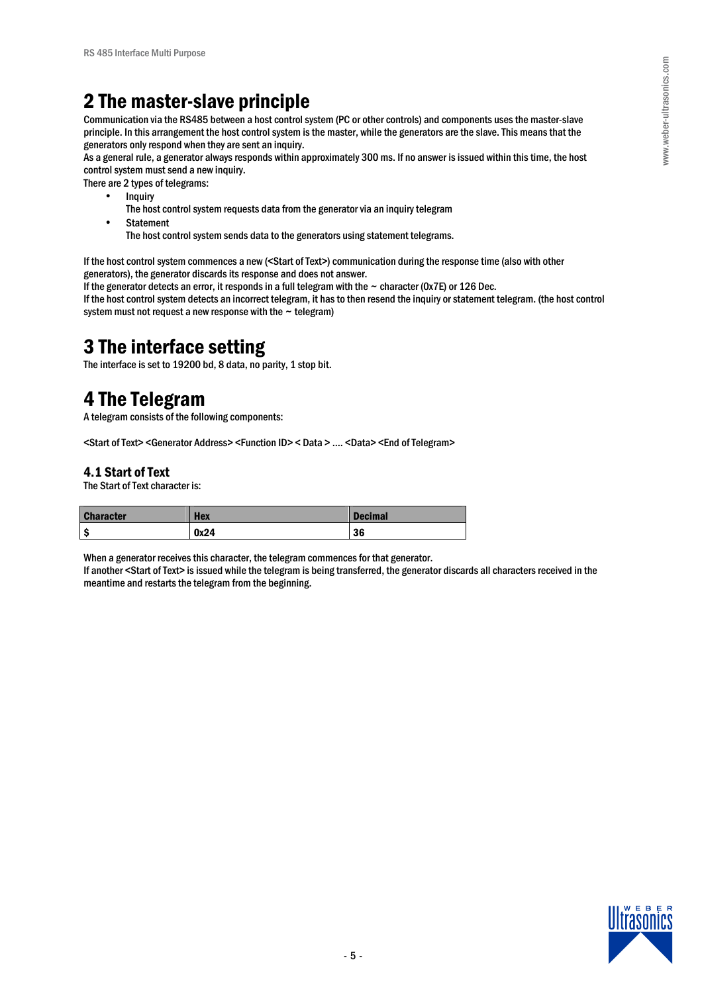# 2 The master-slave principle

Communication via the RS485 between a host control system (PC or other controls) and components uses the master-slave principle. In this arrangement the host control system is the master, while the generators are the slave. This means that the generators only respond when they are sent an inquiry.

As a general rule, a generator always responds within approximately 300 ms. If no answer is issued within this time, the host control system must send a new inquiry.

There are 2 types of telegrams:

- **Inquiry** 
	- The host control system requests data from the generator via an inquiry telegram
	- **Statement**

The host control system sends data to the generators using statement telegrams.

If the host control system commences a new (<Start of Text>) communication during the response time (also with other generators), the generator discards its response and does not answer.

If the generator detects an error, it responds in a full telegram with the  $\sim$  character (0x7E) or 126 Dec.

If the host control system detects an incorrect telegram, it has to then resend the inquiry or statement telegram. (the host control system must not request a new response with the  $\sim$  telegram)

# 3 The interface setting

The interface is set to 19200 bd, 8 data, no parity, 1 stop bit.

# 4 The Telegram

A telegram consists of the following components:

<Start of Text> <Generator Address> <Function ID> < Data > …. <Data> <End of Telegram>

# 4.1 Start of Text

The Start of Text character is:

| <b>Character</b> | <b>Hex</b> | <b>Decimal</b> |
|------------------|------------|----------------|
|                  | 0x24       | 36             |

When a generator receives this character, the telegram commences for that generator.

If another <Start of Text> is issued while the telegram is being transferred, the generator discards all characters received in the meantime and restarts the telegram from the beginning.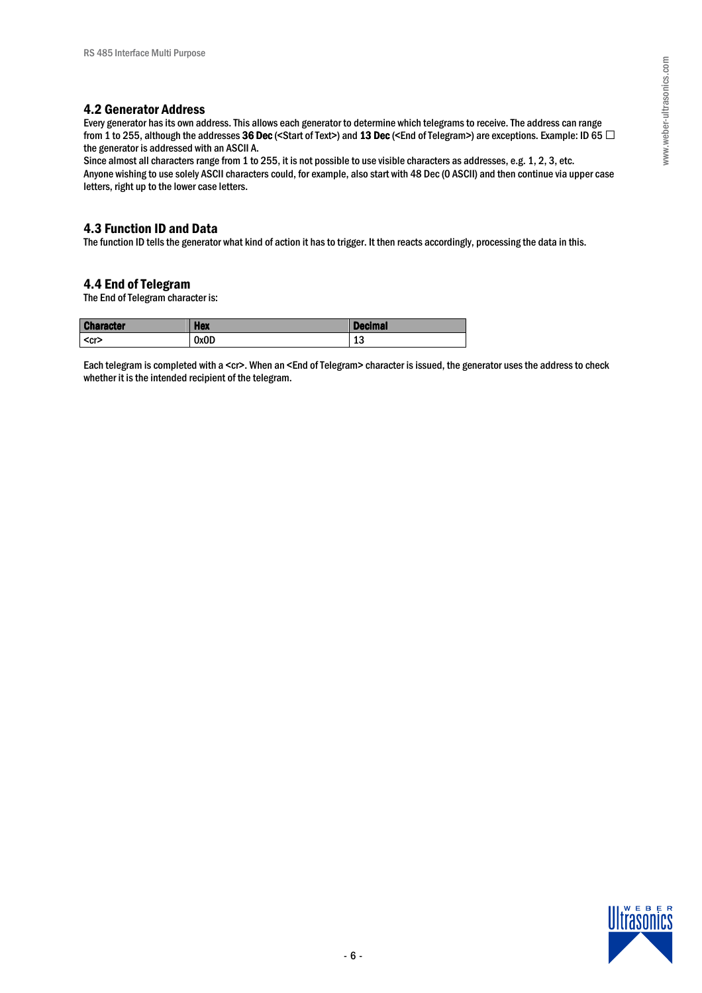# 4.2 Generator Address

Every generator has its own address. This allows each generator to determine which telegrams to receive. The address can range from 1 to 255, although the addresses 36 Dec (<Start of Text>) and 13 Dec (<End of Telegram>) are exceptions. Example: ID 65 @ the generator is addressed with an ASCII A.

Since almost all characters range from 1 to 255, it is not possible to use visible characters as addresses, e.g. 1, 2, 3, etc. Anyone wishing to use solely ASCII characters could, for example, also start with 48 Dec (0 ASCII) and then continue via upper case letters, right up to the lower case letters.

# 4.3 Function ID and Data

The function ID tells the generator what kind of action it has to trigger. It then reacts accordingly, processing the data in this.

# 4.4 End of Telegram

The End of Telegram character is:

| <b>Character</b> | <b>Hex</b> | <b>Decimal</b> |
|------------------|------------|----------------|
| $<$ cr>          | 0x0D       | $\sim$<br>⊥∪   |

Each telegram is completed with a <cr>. When an <End of Telegram> character is issued, the generator uses the address to check whether it is the intended recipient of the telegram.

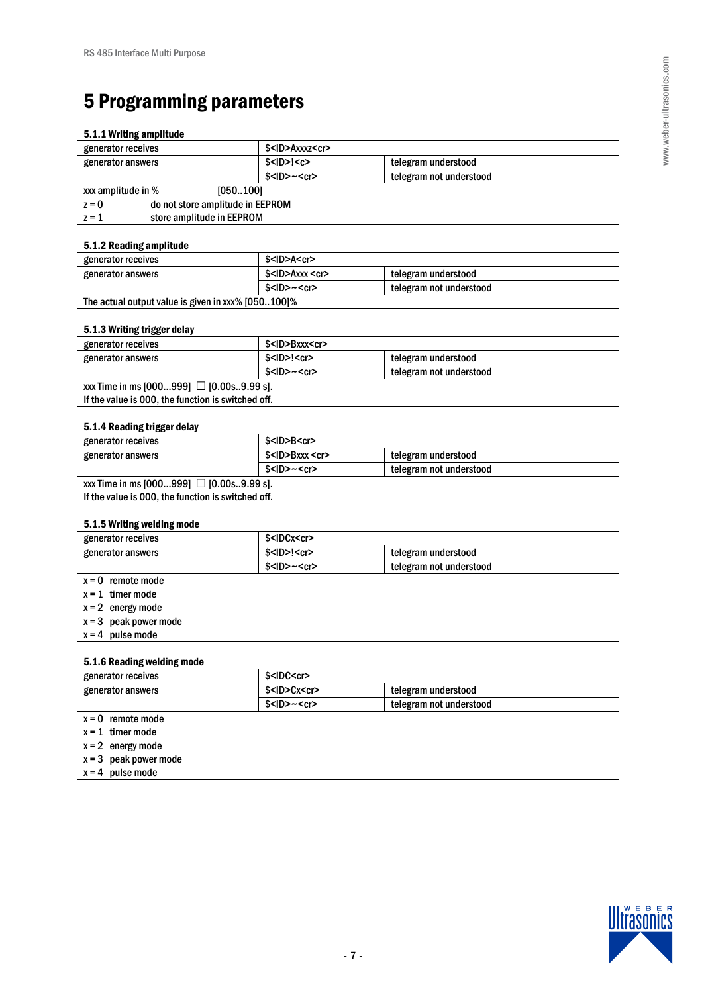# 5 Programming parameters

#### 5.1.1 Writing amplitude

| generator receives                          | \$ <id>Axxxz<cr></cr></id> |                         |  |  |
|---------------------------------------------|----------------------------|-------------------------|--|--|
| generator answers                           | $$<$ ID $>$ ! $<$ c $>$    | telegram understood     |  |  |
|                                             | $$<$ ID $>~<$ cr $>$       | telegram not understood |  |  |
| xxx amplitude in %<br>[050100]              |                            |                         |  |  |
| do not store amplitude in EEPROM<br>$z = 0$ |                            |                         |  |  |
| store amplitude in EEPROM<br>$z = 1$        |                            |                         |  |  |

### 5.1.2 Reading amplitude

| generator receives                                 | \$ <id>A<cr></cr></id>     |                         |  |  |  |
|----------------------------------------------------|----------------------------|-------------------------|--|--|--|
| generator answers                                  | \$ <id>Axxx <cr></cr></id> | telegram understood     |  |  |  |
|                                                    | $$<$ ID>~ $<$ cr>          | telegram not understood |  |  |  |
| The actual output value is given in xxx% [050100]% |                            |                         |  |  |  |

## 5.1.3 Writing trigger delay

| generator receives                                 | \$ <id>Bxxx<cr></cr></id> |                         |  |  |  |
|----------------------------------------------------|---------------------------|-------------------------|--|--|--|
| generator answers                                  | $$<$ ID>! $<$ cr>         | telegram understood     |  |  |  |
|                                                    | $$<$ ID>~ $<$ cr>         | telegram not understood |  |  |  |
| xxx Time in ms [000999] @ [0.00s9.99 s].           |                           |                         |  |  |  |
| If the value is 000, the function is switched off. |                           |                         |  |  |  |

## 5.1.4 Reading trigger delay

| generator receives                                 | $$<$ ID>B $<$ cr>    |                         |  |  |  |
|----------------------------------------------------|----------------------|-------------------------|--|--|--|
| generator answers                                  | $$<$ ID>Bxxx $<$ cr> | telegram understood     |  |  |  |
|                                                    | $$<$ ID>~ $<$ cr>    | telegram not understood |  |  |  |
| $\text{xxx}$ Time in ms [000999] @ [0.00s9.99 s].  |                      |                         |  |  |  |
| If the value is 000, the function is switched off. |                      |                         |  |  |  |

## 5.1.5 Writing welding mode

| generator receives      | \$ <idcx<cr></idcx<cr>   |                         |  |
|-------------------------|--------------------------|-------------------------|--|
| generator answers       | $$<$ ID $>$ ! $<$ cr $>$ | telegram understood     |  |
|                         | $$<$ ID $>~<$ cr $>$     | telegram not understood |  |
| $x = 0$ remote mode     |                          |                         |  |
| $x = 1$ timer mode      |                          |                         |  |
| $x = 2$ energy mode     |                          |                         |  |
| $x = 3$ peak power mode |                          |                         |  |
| $x = 4$ pulse mode      |                          |                         |  |

#### 5.1.6 Reading welding mode

| generator receives      | \$ <idc<cr></idc<cr>    |                         |  |  |
|-------------------------|-------------------------|-------------------------|--|--|
| generator answers       | \$ <id>Cx<cr></cr></id> | telegram understood     |  |  |
|                         | $$<$ ID $>~<$ cr $>$    | telegram not understood |  |  |
| $x = 0$ remote mode     |                         |                         |  |  |
| $x = 1$ timer mode      |                         |                         |  |  |
| $x = 2$ energy mode     |                         |                         |  |  |
| $x = 3$ peak power mode |                         |                         |  |  |
| $x = 4$ pulse mode      |                         |                         |  |  |

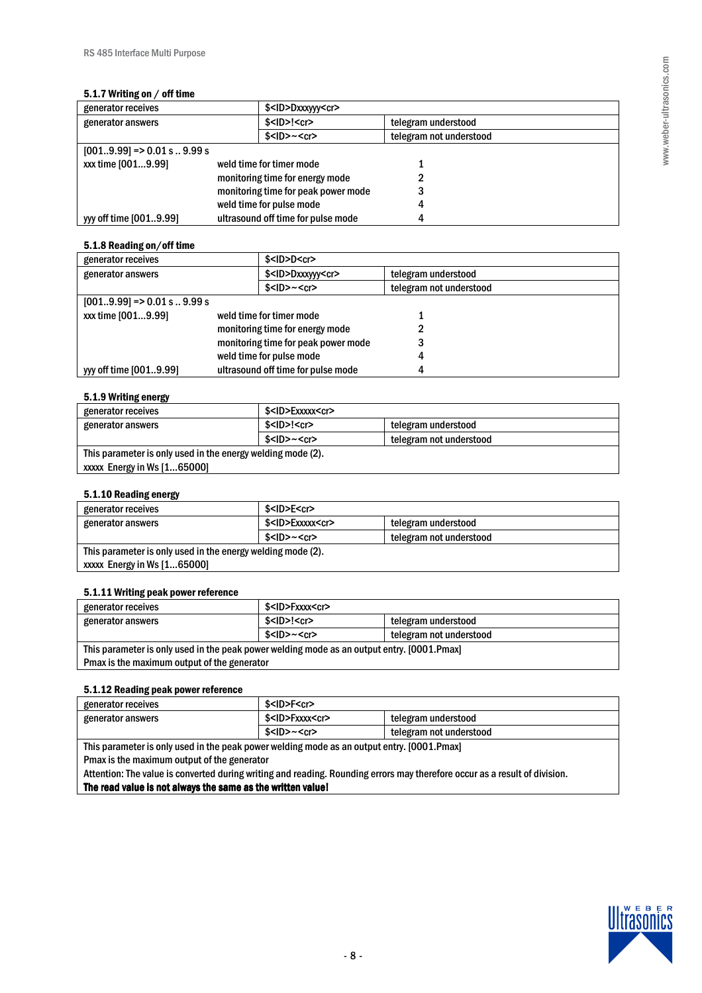#### 5.1.7 Writing on / off time

| generator receives           |                                     | \$ <id>Dxxxyyy<cr></cr></id> |                         |  |
|------------------------------|-------------------------------------|------------------------------|-------------------------|--|
| generator answers            |                                     | $$<$ ID $>$ ! $<$ cr $>$     | telegram understood     |  |
|                              |                                     | $$<$ ID> $~<$ cr>            | telegram not understood |  |
| $[0019.99] = 0.01$ s  9.99 s |                                     |                              |                         |  |
| xx time [0019.99]            |                                     | weld time for timer mode     |                         |  |
|                              | monitoring time for energy mode     |                              |                         |  |
|                              | monitoring time for peak power mode |                              |                         |  |
|                              | weld time for pulse mode            |                              |                         |  |
| vy off time [0019.99]        | ultrasound off time for pulse mode  |                              |                         |  |

### 5.1.8 Reading on/off time

| generator receives            |                                     | $$<$ ID $>$ D $<$ cr $>$     |                         |
|-------------------------------|-------------------------------------|------------------------------|-------------------------|
| generator answers             |                                     | \$ <id>Dxxxyyy<cr></cr></id> | telegram understood     |
|                               |                                     | $$<$ ID $>~<$ cr $>$         | telegram not understood |
| $[0019.99]$ => 0.01 s  9.99 s |                                     |                              |                         |
| xxx time [0019.99]            |                                     | weld time for timer mode     |                         |
|                               | monitoring time for energy mode     |                              |                         |
|                               | monitoring time for peak power mode |                              |                         |
|                               | weld time for pulse mode            |                              |                         |
| yyy off time [0019.99]        | ultrasound off time for pulse mode  |                              |                         |

## 5.1.9 Writing energy

| generator receives                                          | \$ <id>Exxxxx<cr></cr></id> |                         |
|-------------------------------------------------------------|-----------------------------|-------------------------|
| generator answers                                           | \$ <id>!<cr></cr></id>      | telegram understood     |
|                                                             | $$<$ ID>~ $<$ cr>           | telegram not understood |
| This parameter is only used in the energy welding mode (2). |                             |                         |
| $xxxx$ Energy in Ws $[165000]$                              |                             |                         |

## 5.1.10 Reading energy

| . .                                                         |                             |                         |  |
|-------------------------------------------------------------|-----------------------------|-------------------------|--|
| generator receives                                          | \$ <id>E<cr></cr></id>      |                         |  |
| generator answers                                           | \$ <id>Exxxxx<cr></cr></id> | telegram understood     |  |
|                                                             | $$<$ ID>~ $<$ cr>           | telegram not understood |  |
| This parameter is only used in the energy welding mode (2). |                             |                         |  |
| xxxx Energy in Ws [165000]                                  |                             |                         |  |

#### 5.1.11 Writing peak power reference

| generator receives                                                                         | \$ <id>Fxxxx<cr></cr></id>                      |                         |  |
|--------------------------------------------------------------------------------------------|-------------------------------------------------|-------------------------|--|
| generator answers                                                                          | $$<$ ID $>$ ! $<$ cr $>$<br>telegram understood |                         |  |
|                                                                                            | $$<$ ID>~ $<$ cr>                               | telegram not understood |  |
| This parameter is only used in the peak power welding mode as an output entry. [0001.Pmax] |                                                 |                         |  |
| Pmax is the maximum output of the generator                                                |                                                 |                         |  |

## 5.1.12 Reading peak power reference

| generator receives                                                                         | \$ <id>F<cr></cr></id>                             |                         |
|--------------------------------------------------------------------------------------------|----------------------------------------------------|-------------------------|
| generator answers                                                                          | \$ <id>Fxxxx<cr><br/>telegram understood</cr></id> |                         |
|                                                                                            | $$<$ ID>~ $<$ cr>                                  | telegram not understood |
| This parameter is only used in the peak power welding mode as an output entry. [0001.Pmax] |                                                    |                         |
| Pmax is the maximum output of the generator                                                |                                                    |                         |

Attention: The value is converted during writing and reading. Rounding errors may therefore occur as a result of division. The read value is not always the same as the written value!

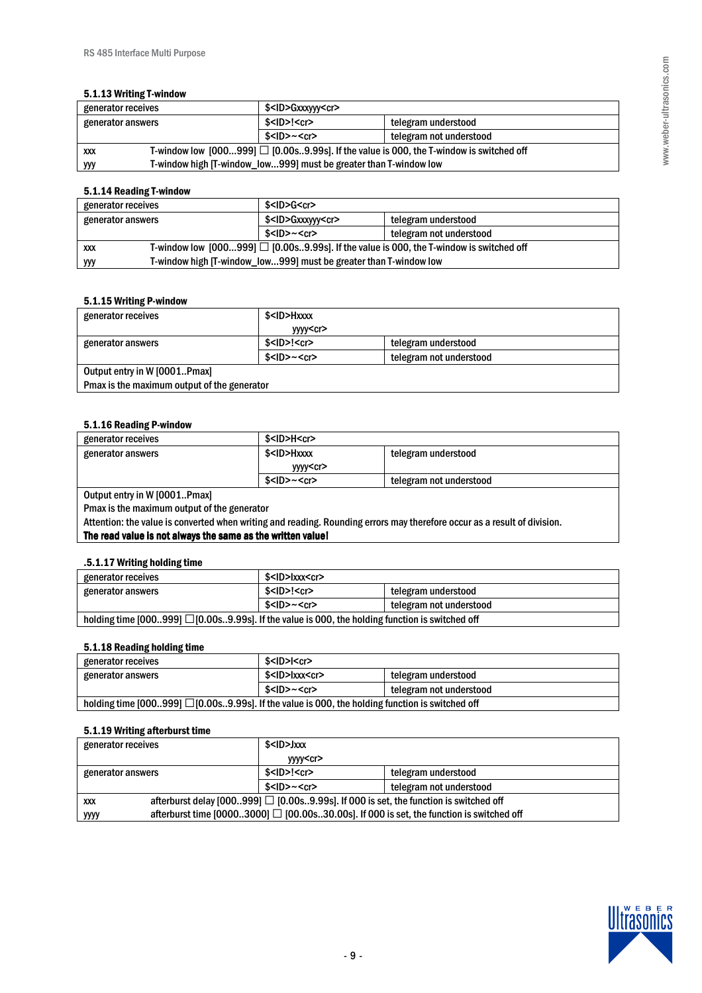#### 5.1.13 Writing T-window

| generator receives                                                                                         | \$ <id>Gxxxyyy<cr></cr></id>                                      |                         |  |
|------------------------------------------------------------------------------------------------------------|-------------------------------------------------------------------|-------------------------|--|
| generator answers                                                                                          | $$<$ ID>! $<$ cr><br>telegram understood                          |                         |  |
|                                                                                                            | $$<$ ID $>~<$ cr $>$                                              | telegram not understood |  |
| T-window low $[000999]$ @ $[0.00s9.99s]$ . If the value is 000, the T-window is switched off<br><b>XXX</b> |                                                                   |                         |  |
| ууу                                                                                                        | T-window high [T-window_low999] must be greater than T-window low |                         |  |

## 5.1.14 Reading T-window

| generator receives                                                                                         | \$ <id>G<cr></cr></id>                                            |                         |  |
|------------------------------------------------------------------------------------------------------------|-------------------------------------------------------------------|-------------------------|--|
| generator answers                                                                                          | \$ <id>Gxxxyyy<cr><br/>telegram understood</cr></id>              |                         |  |
|                                                                                                            | $$<$ ID>~ $<$ cr>                                                 | telegram not understood |  |
| T-window low $[000999]$ @ $[0.00s9.99s]$ . If the value is 000, the T-window is switched off<br><b>XXX</b> |                                                                   |                         |  |
| yyy                                                                                                        | T-window high [T-window_low999] must be greater than T-window low |                         |  |

#### 5.1.15 Writing P-window

| generator receives                          | \$ <id>Hxxxx</id>        |                         |  |
|---------------------------------------------|--------------------------|-------------------------|--|
|                                             | yyyy <cr></cr>           |                         |  |
| generator answers                           | $$<$ ID $>$ ! $<$ cr $>$ | telegram understood     |  |
|                                             | $$<$ ID> $~<$ cr>        | telegram not understood |  |
| Output entry in W [0001Pmax]                |                          |                         |  |
| Pmax is the maximum output of the generator |                          |                         |  |

#### 5.1.16 Reading P-window

| generator receives | \$ <id>H<cr></cr></id>                    |                         |
|--------------------|-------------------------------------------|-------------------------|
| generator answers  | \$ <id>Hxxxx<br/>telegram understood</id> |                         |
|                    | yyyy <cr></cr>                            |                         |
|                    | $$<$ ID> $~<$ cr>                         | telegram not understood |
|                    |                                           |                         |

Output entry in W [0001..Pmax]

Pmax is the maximum output of the generator

Attention: the value is converted when writing and reading. Rounding errors may therefore occur as a result of division. The read value is not always the same as the written value!

#### .5.1.17 Writing holding time

| generator receives                                                                              | \$ <id>Ixxx<cr></cr></id>                |                         |
|-------------------------------------------------------------------------------------------------|------------------------------------------|-------------------------|
| generator answers                                                                               | $$<$ ID>! $<$ cr><br>telegram understood |                         |
|                                                                                                 | $$<$ ID>~ $<$ cr>                        | telegram not understood |
| holding time [000999] @ [0.00s9.99s]. If the value is 000, the holding function is switched off |                                          |                         |

## 5.1.18 Reading holding time

| generator receives                                                                              | \$ <id>I<cr></cr></id>                            |                         |  |
|-------------------------------------------------------------------------------------------------|---------------------------------------------------|-------------------------|--|
| generator answers                                                                               | \$ <id>Ixxx<cr><br/>telegram understood</cr></id> |                         |  |
|                                                                                                 | $$<$ ID>~ $<$ cr>                                 | telegram not understood |  |
| holding time [000999] @ [0.00s9.99s]. If the value is 000, the holding function is switched off |                                                   |                         |  |

### 5.1.19 Writing afterburst time

| generator receives | \$ <id>Jxxx</id>                                                                      |                         |  |
|--------------------|---------------------------------------------------------------------------------------|-------------------------|--|
|                    | yyyy <cr></cr>                                                                        |                         |  |
| generator answers  | $$<$ ID $>$ ! $<$ cr $>$                                                              | telegram understood     |  |
|                    | $$<$ ID>~ $<$ cr>                                                                     | telegram not understood |  |
| <b>XXX</b>         | afterburst delay [000999] @ [0.00s9.99s]. If 000 is set, the function is switched off |                         |  |
| уууу               |                                                                                       |                         |  |

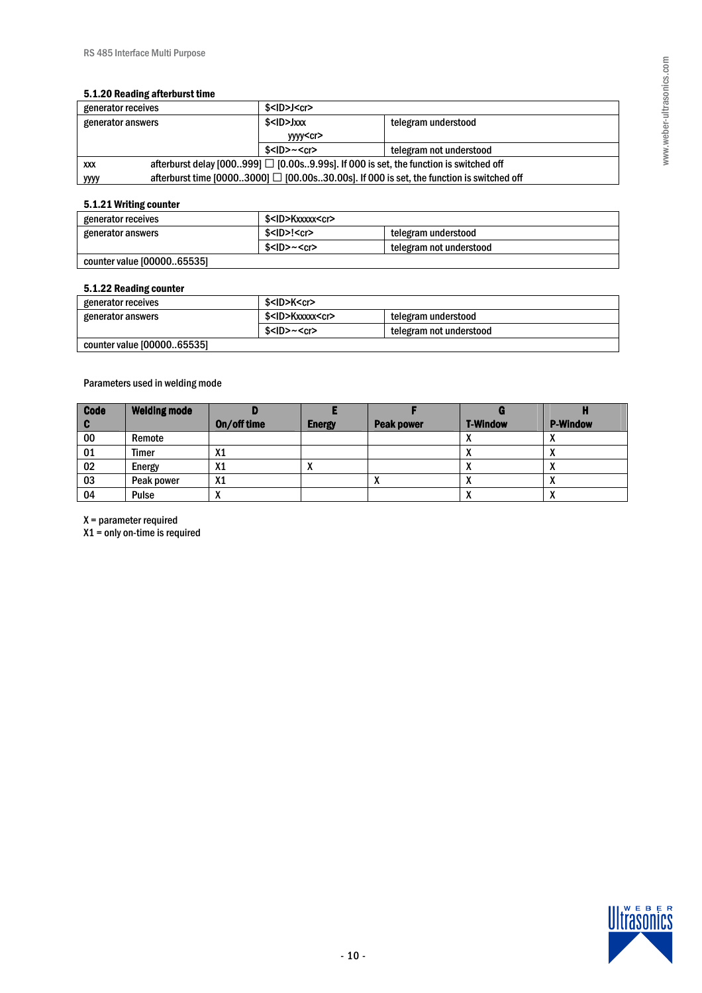#### 5.1.20 Reading afterburst time

| generator receives                                                                                  | \$ <id>J<cr></cr></id>                                                                   |                         |  |
|-----------------------------------------------------------------------------------------------------|------------------------------------------------------------------------------------------|-------------------------|--|
| generator answers                                                                                   | \$ <id>Jxxx</id>                                                                         | telegram understood     |  |
|                                                                                                     | yyyy <cr></cr>                                                                           |                         |  |
|                                                                                                     | $$<$ ID>~ $<$ cr>                                                                        | telegram not understood |  |
| afterburst delay [000999] @ [0.00s9.99s]. If 000 is set, the function is switched off<br><b>XXX</b> |                                                                                          |                         |  |
| <u>уууу</u>                                                                                         | afterburst time [00003000] @ [00.00s30.00s]. If 000 is set, the function is switched off |                         |  |

# 5.1.21 Writing counter

| generator receives         | \$ <id>Kxxxxx<cr></cr></id> |                         |  |
|----------------------------|-----------------------------|-------------------------|--|
| generator answers          | $$<$ ID>! $<$ cr>           | telegram understood     |  |
|                            | $$<$ ID> $~<$ cr>           | telegram not understood |  |
| counter value [0000065535] |                             |                         |  |

#### 5.1.22 Reading counter

| generator receives         | \$ <id>K<cr></cr></id>      |                         |
|----------------------------|-----------------------------|-------------------------|
| generator answers          | \$ <id>Kxxxxx<cr></cr></id> | telegram understood     |
|                            | $$<$ ID> $~<$ cr>           | telegram not understood |
| counter value [0000065535] |                             |                         |

# Parameters used in welding mode

| <b>Code</b> | <b>Welding mode</b> |                |               |                   |                 |                 |
|-------------|---------------------|----------------|---------------|-------------------|-----------------|-----------------|
| u           |                     | On/off time    | <b>Energy</b> | <b>Peak power</b> | <b>T-Window</b> | <b>P-Window</b> |
| 00          | Remote              |                |               |                   |                 |                 |
| 01          | Timer               | X1             |               |                   | $\mathbf{v}$    |                 |
| 02          | Energy              | X1             |               |                   |                 | $\mathbf{v}$    |
| 03          | Peak power          | X <sub>1</sub> |               |                   |                 |                 |
| 04          | Pulse               | $\mathbf{v}$   |               |                   | $\cdots$        | $\mathbf{v}$    |

X = parameter required

X1 = only on-time is required

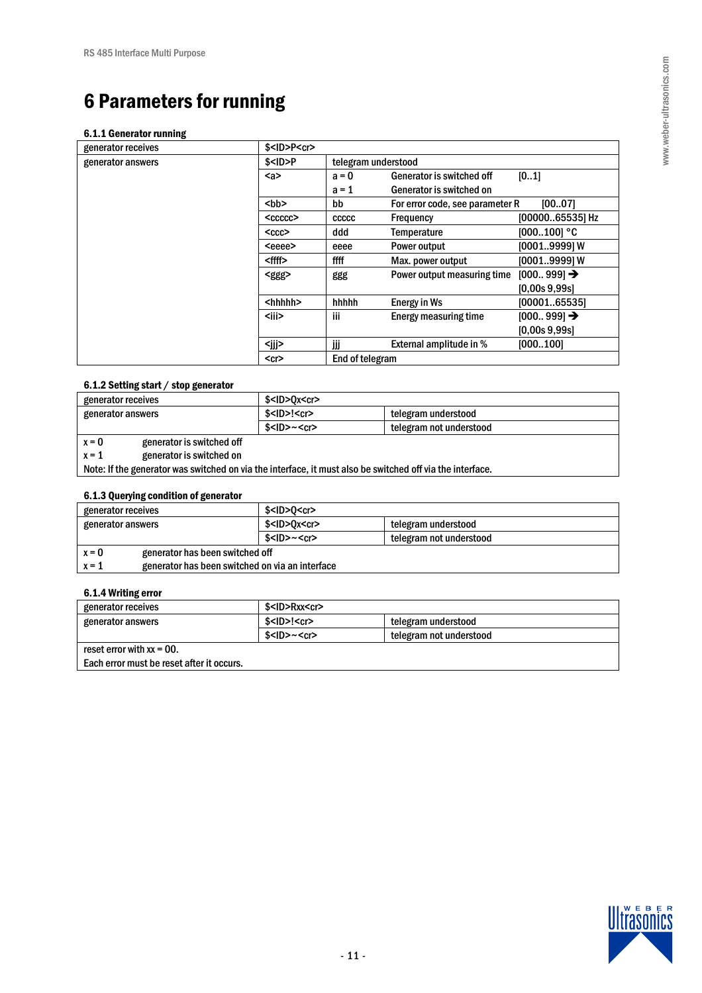# 6 Parameters for running

#### 6.1.1 Generator running

| generator receives | $$<$ ID>P $<$ cr> |                     |                                 |                        |
|--------------------|-------------------|---------------------|---------------------------------|------------------------|
| generator answers  | $$<$ ID $>$ P     | telegram understood |                                 |                        |
|                    | $a$               | $a = 0$             | Generator is switched off       | [01]                   |
|                    |                   | $a = 1$             | Generator is switched on        |                        |
|                    | <bb></bb>         | bb                  | For error code, see parameter R | [0007]                 |
|                    | $<$ ccccc $>$     | CCCCC               | Frequency                       | [0000065535] Hz        |
|                    | $<$ ccc $>$       | ddd                 | Temperature                     | $[000100]$ °C          |
|                    | <eeee></eeee>     | eeee                | Power output                    | [00019999] W           |
|                    | <ffff></ffff>     | ffff                | Max. power output               | [00019999] W           |
|                    | <ggg></ggg>       | ggg                 | Power output measuring time     | $[000999] \rightarrow$ |
|                    |                   |                     |                                 | [0.00s 9.99s]          |
|                    | <hhhhh></hhhhh>   | hhhhh               | Energy in Ws                    | [0000165535]           |
|                    | <iii></iii>       | iii                 | Energy measuring time           | $[000999] \rightarrow$ |
|                    |                   |                     |                                 | [0.00s 9.99s]          |
|                    | <jjj></jjj>       | Шİ                  | External amplitude in %         | [000100]               |
|                    | $<$ cr $>$        | End of telegram     |                                 |                        |
|                    |                   |                     |                                 |                        |

## 6.1.2 Setting start / stop generator

| generator receives |                           | \$ <id>0x<cr></cr></id> |                         |  |
|--------------------|---------------------------|-------------------------|-------------------------|--|
| generator answers  |                           | $$<$ ID>! $<$ cr>       | telegram understood     |  |
|                    |                           | $$<$ ID>~ $<$ cr>       | telegram not understood |  |
| $x = 0$            | generator is switched off |                         |                         |  |
| $x = 1$            | generator is switched on  |                         |                         |  |

Note: If the generator was switched on via the interface, it must also be switched off via the interface.

# 6.1.3 Querying condition of generator

| generator receives                                         | $$<$ ID $>$ O $<$ cr $>$ |                         |  |
|------------------------------------------------------------|--------------------------|-------------------------|--|
| generator answers                                          | \$ <id>0x<cr></cr></id>  | telegram understood     |  |
|                                                            | $$<$ ID>~ $<$ cr>        | telegram not understood |  |
| generator has been switched off<br>$x = 0$                 |                          |                         |  |
| generator has been switched on via an interface<br>$x = 1$ |                          |                         |  |

#### 6.1.4 Writing error

| generator receives                        | \$ <id>Rxx<cr></cr></id> |                         |
|-------------------------------------------|--------------------------|-------------------------|
| generator answers                         | $$<$ ID>! $<$ cr>        | telegram understood     |
|                                           | $$<$ ID>~ $<$ cr>        | telegram not understood |
| reset error with $xx = 00$ .              |                          |                         |
| Each error must be reset after it occurs. |                          |                         |

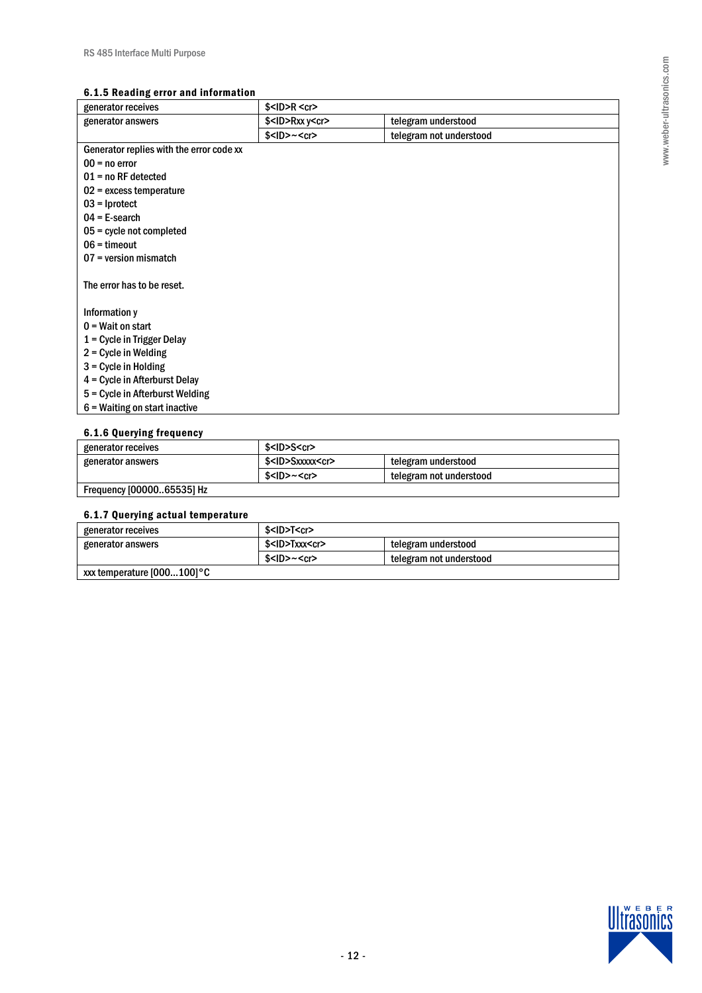## 6.1.5 Reading error and information

| generator receives                       | $$<$ ID $>$ R $<$ cr $>$     |                         |
|------------------------------------------|------------------------------|-------------------------|
| generator answers                        | $$<$ ID $>$ Rxx y $<$ cr $>$ | telegram understood     |
|                                          | $$<$ ID $>~<$ cr $>$         | telegram not understood |
| Generator replies with the error code xx |                              |                         |
| $00 = no error$                          |                              |                         |
| $01$ = no RF detected                    |                              |                         |
| $02$ = excess temperature                |                              |                         |
| $03$ = Iprotect                          |                              |                         |
| $04$ = E-search                          |                              |                         |
| $05$ = cycle not completed               |                              |                         |
| $06 =$ timeout                           |                              |                         |
| $07$ = version mismatch                  |                              |                         |
| The error has to be reset.               |                              |                         |
| Information y                            |                              |                         |
| $0 = Wait$ on start                      |                              |                         |
| 1 = Cycle in Trigger Delay               |                              |                         |
| $2 =$ Cycle in Welding                   |                              |                         |
| $3$ = Cycle in Holding                   |                              |                         |
| 4 = Cycle in Afterburst Delay            |                              |                         |
| 5 = Cycle in Afterburst Welding          |                              |                         |
| $6$ = Waiting on start inactive          |                              |                         |

# 6.1.6 Querying frequency

| generator receives        | \$ <id>S<cr></cr></id>      |                         |
|---------------------------|-----------------------------|-------------------------|
| generator answers         | \$ <id>Sxxxxx<cr></cr></id> | telegram understood     |
|                           | \$ <id>~<cr></cr></id>      | telegram not understood |
| Frequency [0000065535] Hz |                             |                         |

# 6.1.7 Querying actual temperature

| generator receives          | \$ <id>T<cr></cr></id>    |                         |  |
|-----------------------------|---------------------------|-------------------------|--|
| generator answers           | \$ <id>Txxx<cr></cr></id> | telegram understood     |  |
|                             | $$<$ ID>~ $<$ cr>         | telegram not understood |  |
| xxx temperature [000100] °C |                           |                         |  |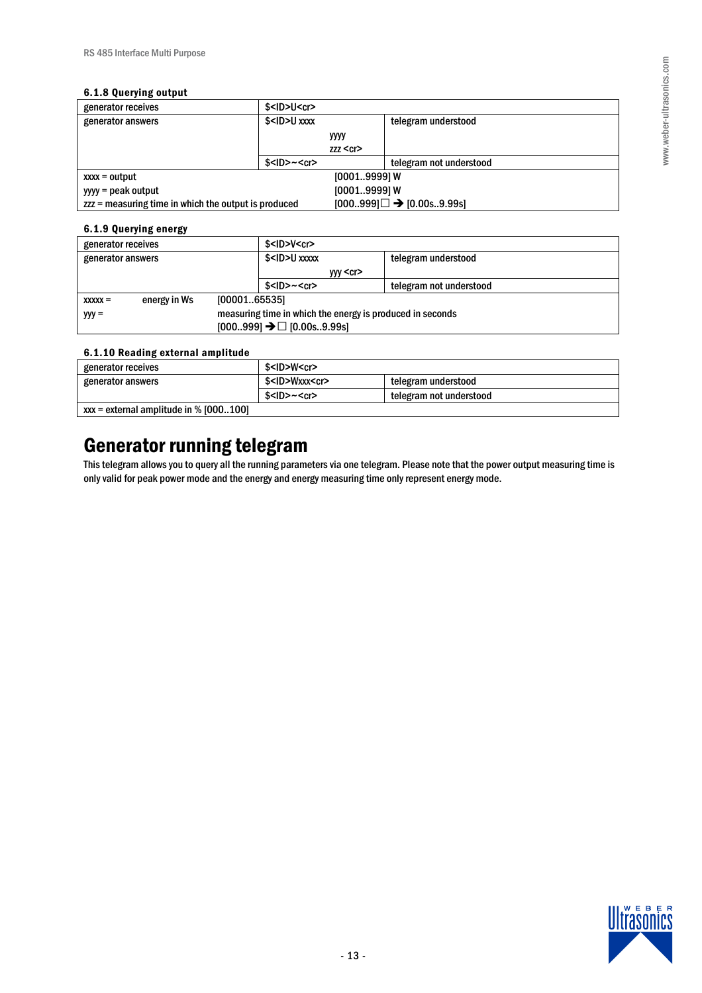# 6.1.8 Querying output

|                                                      | .                                         |          |                                        |  |
|------------------------------------------------------|-------------------------------------------|----------|----------------------------------------|--|
| generator receives                                   | $$<$ ID $>$ U $<$ cr $>$                  |          |                                        |  |
| generator answers                                    | $$<$ ID $>$ U xxxx<br>telegram understood |          |                                        |  |
|                                                      |                                           | уууу     |                                        |  |
|                                                      |                                           | zzz < cr |                                        |  |
|                                                      | $$<$ ID $>~<$ cr $>$                      |          | telegram not understood                |  |
| $[00019999]$ W<br>$xxxx = output$                    |                                           |          |                                        |  |
| yyyy = peak output                                   | [00019999] W                              |          |                                        |  |
| zzz = measuring time in which the output is produced |                                           |          | $[000999] @ \rightarrow [0.00$ s9.99s] |  |

# 6.1.9 Querying energy

| generator receives |              |                                                           | $$<$ ID $>$ V $<$ cr $>$                    |                         |
|--------------------|--------------|-----------------------------------------------------------|---------------------------------------------|-------------------------|
| generator answers  |              |                                                           | \$ <id>U xxxxx<br/>telegram understood</id> |                         |
|                    |              |                                                           | yyy <cr></cr>                               |                         |
|                    |              |                                                           | $$<$ ID>~ $<$ cr>                           | telegram not understood |
| $xxxx =$           | energy in Ws | [0000165535]                                              |                                             |                         |
| $yyy =$            |              | measuring time in which the energy is produced in seconds |                                             |                         |
|                    |              | $[000999]$ $\rightarrow$ @ $[0.00$ s9.99s]                |                                             |                         |

# 6.1.10 Reading external amplitude

| -                                        |                           |                         |
|------------------------------------------|---------------------------|-------------------------|
| generator receives                       | \$ <id>W<cr></cr></id>    |                         |
| generator answers                        | \$ <id>Wxxx<cr></cr></id> | telegram understood     |
|                                          | $$<$ ID>~ $<$ cr>         | telegram not understood |
| $xxx = external$ amplitude in % [000100] |                           |                         |

# Generator running telegram

This telegram allows you to query all the running parameters via one telegram. Please note that the power output measuring time is only valid for peak power mode and the energy and energy measuring time only represent energy mode.

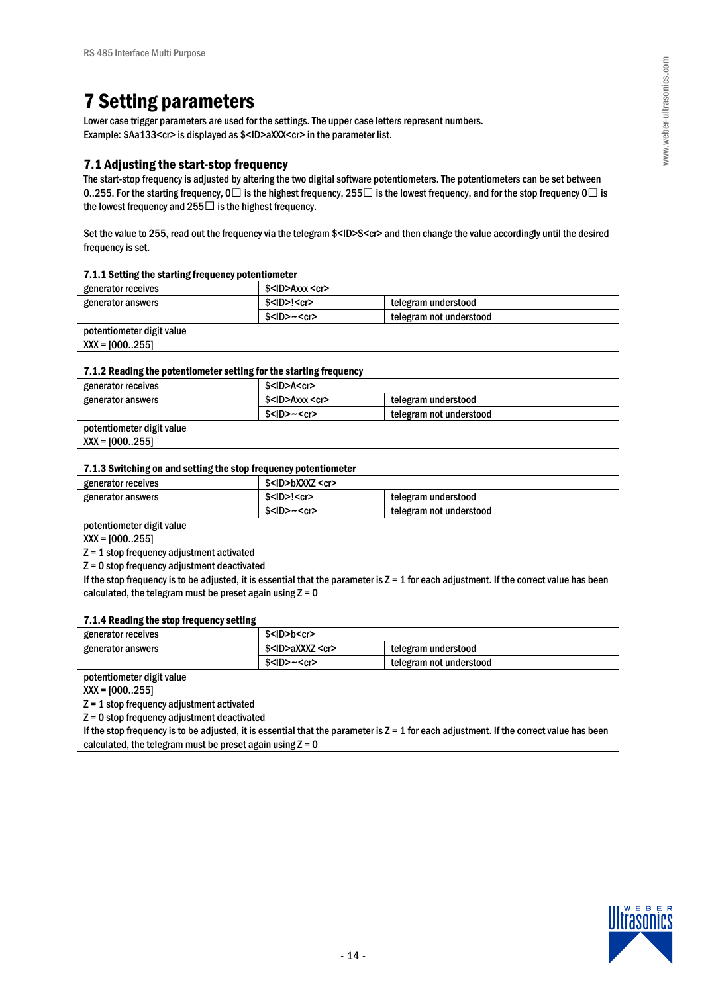# 7 Setting parameters

Lower case trigger parameters are used for the settings. The upper case letters represent numbers. Example: \$Aa133<cr> is displayed as \$<ID>aXXX<cr> in the parameter list.

# 7.1 Adjusting the start-stop frequency

The start-stop frequency is adjusted by altering the two digital software potentiometers. The potentiometers can be set between 0..255. For the starting frequency,  $0@$  is the highest frequency, 255 @ is the lowest frequency, and for the stop frequency  $0@$  is the lowest frequency and 255@ is the highest frequency.

Set the value to 255, read out the frequency via the telegram \$<ID>S<cr> and then change the value accordingly until the desired frequency is set.

#### 7.1.1 Setting the starting frequency potentiometer

| generator receives        | \$ <id>Axxx <cr></cr></id>                     |                         |
|---------------------------|------------------------------------------------|-------------------------|
| generator answers         | \$ <id>!<cr><br/>telegram understood</cr></id> |                         |
|                           | $$<$ ID>~ $<$ cr>                              | telegram not understood |
| potentiometer digit value |                                                |                         |
| $XXX = [000255]$          |                                                |                         |

#### 7.1.2 Reading the potentiometer setting for the starting frequency

| generator receives        | \$ <id>A<cr></cr></id>     |                         |
|---------------------------|----------------------------|-------------------------|
| generator answers         | \$ <id>Axxx <cr></cr></id> | telegram understood     |
|                           | $$<$ ID> $~<$ cr>          | telegram not understood |
| potentiometer digit value |                            |                         |

 $XX = [000..255]$ 

#### 7.1.3 Switching on and setting the stop frequency potentiometer

| generator receives | \$ <id>bXXXZ <cr></cr></id>                     |                         |
|--------------------|-------------------------------------------------|-------------------------|
| generator answers  | $$<$ ID $>$ ! $<$ cr $>$<br>telegram understood |                         |
|                    | $$<$ ID> $~<$ cr>                               | telegram not understood |

potentiometer digit value

XXX = [000..255]

Z = 1 stop frequency adjustment activated

Z = 0 stop frequency adjustment deactivated

If the stop frequency is to be adjusted, it is essential that the parameter is  $Z = 1$  for each adjustment. If the correct value has been calculated, the telegram must be preset again using  $Z = 0$ 

#### 7.1.4 Reading the stop frequency setting

| generator receives | \$ <id>b<cr></cr></id>                              |                         |  |
|--------------------|-----------------------------------------------------|-------------------------|--|
| generator answers  | \$ <id>aXXXZ <cr><br/>telegram understood</cr></id> |                         |  |
|                    | $$<$ ID>~ $<$ cr>                                   | telegram not understood |  |

potentiometer digit value

XXX = [000..255]

Z = 1 stop frequency adjustment activated

Z = 0 stop frequency adjustment deactivated

If the stop frequency is to be adjusted, it is essential that the parameter is  $Z = 1$  for each adjustment. If the correct value has been calculated, the telegram must be preset again using  $Z = 0$ 

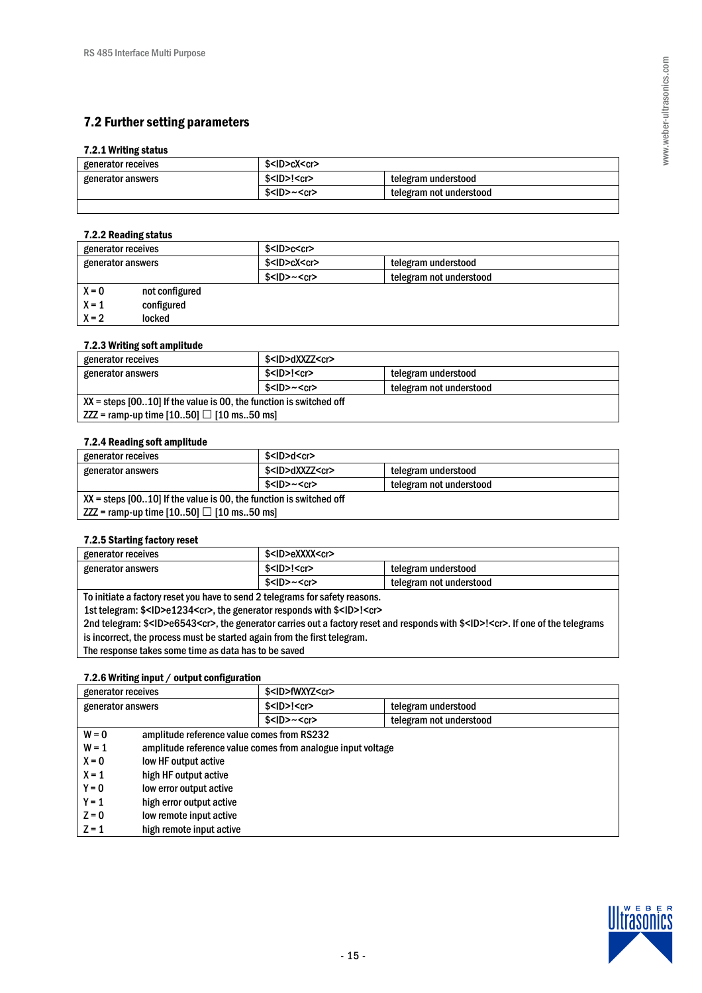# 7.2 Further setting parameters

### 7.2.1 Writing status

| generator receives | \$ <id>cX<cr></cr></id>                        |                         |
|--------------------|------------------------------------------------|-------------------------|
| generator answers  | \$ <id>!<cr><br/>telegram understood</cr></id> |                         |
|                    | $$<$ ID>~ $<$ cr>                              | telegram not understood |
|                    |                                                |                         |

# 7.2.2 Reading status

| generator receives |                | $$<$ ID $>$ c $<$ cr $>$                        |                         |  |  |
|--------------------|----------------|-------------------------------------------------|-------------------------|--|--|
| generator answers  |                | \$ <id>cX<cr><br/>telegram understood</cr></id> |                         |  |  |
|                    |                | $$<$ ID $>~<$ cr $>$                            | telegram not understood |  |  |
| $X = 0$            | not configured |                                                 |                         |  |  |
| $X = 1$            | configured     |                                                 |                         |  |  |
| $X = 2$            | locked         |                                                 |                         |  |  |

### 7.2.3 Writing soft amplitude

| generator receives                                                   | \$ <id>dXXZZ<cr></cr></id>                     |                         |  |
|----------------------------------------------------------------------|------------------------------------------------|-------------------------|--|
| generator answers                                                    | \$ <id>!<cr><br/>telegram understood</cr></id> |                         |  |
|                                                                      | $$<$ ID>~ $<$ cr>                              | telegram not understood |  |
| $XX$ = steps [0010] If the value is 00, the function is switched off |                                                |                         |  |
| $ZZZ$ = ramp-up time [1050] $\textcircled{2}$ [10 ms50 ms]           |                                                |                         |  |

#### 7.2.4 Reading soft amplitude

| generator receives                                                   | \$ <id>d<cr></cr></id>                             |                         |
|----------------------------------------------------------------------|----------------------------------------------------|-------------------------|
| generator answers                                                    | \$ <id>dXXZZ<cr><br/>telegram understood</cr></id> |                         |
|                                                                      | $$<$ ID>~ $<$ cr>                                  | telegram not understood |
| $XX$ = steps [0010] If the value is 00, the function is switched off |                                                    |                         |
| $ZZZ$ = ramp-up time [1050] $\textcircled{2}$ [10 ms50 ms]           |                                                    |                         |

## 7.2.5 Starting factory reset

| generator receives                                                                                                                                   | \$ <id>eXXXX<cr></cr></id>                      |                         |  |
|------------------------------------------------------------------------------------------------------------------------------------------------------|-------------------------------------------------|-------------------------|--|
| generator answers                                                                                                                                    | $$<$ ID $>$ ! $<$ cr $>$<br>telegram understood |                         |  |
|                                                                                                                                                      | $$<$ ID>~ $<$ cr>                               | telegram not understood |  |
| To initiate a factory reset you have to send 2 telegrams for safety reasons.                                                                         |                                                 |                         |  |
| 1st telegram: \$ <id>e1234<cr>, the generator responds with \$<id>!<cr></cr></id></cr></id>                                                          |                                                 |                         |  |
| 2nd telegram: \$ <id>e6543<cr>, the generator carries out a factory reset and responds with \$<id>!<cr>. If one of the telegrams</cr></id></cr></id> |                                                 |                         |  |
| is incorrect, the process must be started again from the first telegram.                                                                             |                                                 |                         |  |
|                                                                                                                                                      |                                                 |                         |  |

The response takes some time as data has to be saved

# 7.2.6 Writing input / output configuration

| generator receives |                                            | \$ <id>fWXYZ<cr></cr></id>                                  |                         |
|--------------------|--------------------------------------------|-------------------------------------------------------------|-------------------------|
| generator answers  |                                            | $$<$ ID $>$ ! $<$ cr $>$                                    | telegram understood     |
|                    |                                            | $$<$ ID $>~<$ cr $>$                                        | telegram not understood |
| $W = 0$            | amplitude reference value comes from RS232 |                                                             |                         |
| $W = 1$            |                                            | amplitude reference value comes from analogue input voltage |                         |
| $X = 0$            | low HF output active                       |                                                             |                         |
| $X = 1$            | high HF output active                      |                                                             |                         |
| $Y = 0$            | low error output active                    |                                                             |                         |
| $Y = 1$            | high error output active                   |                                                             |                         |
| $Z = 0$            | low remote input active                    |                                                             |                         |
| $Z = 1$            | high remote input active                   |                                                             |                         |
|                    |                                            |                                                             |                         |

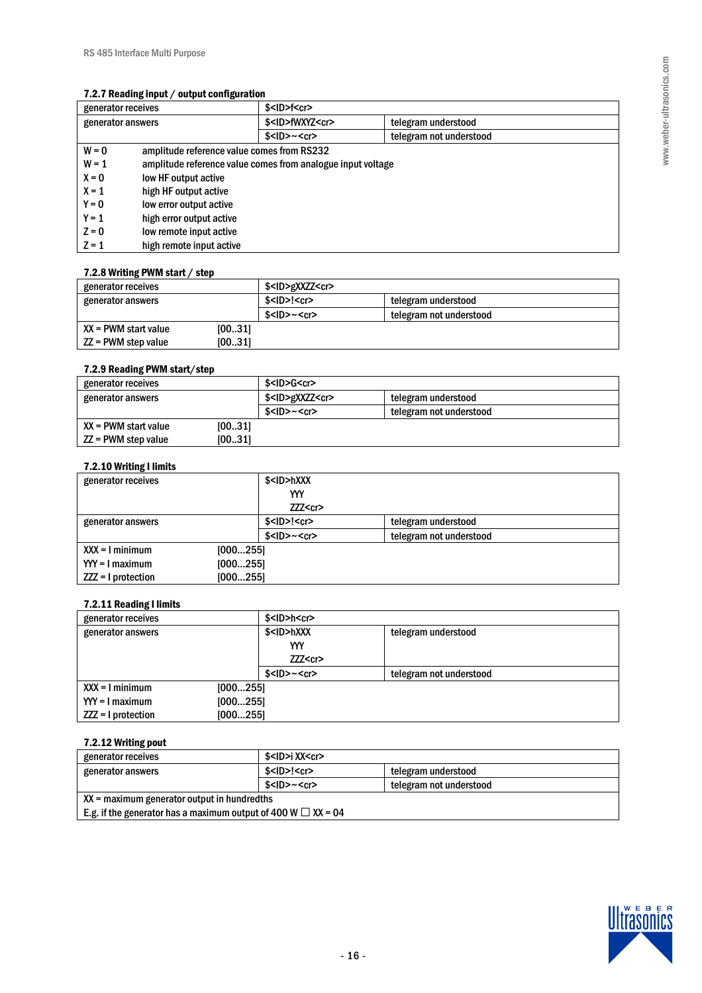### 7.2.7 Reading input / output configuration

| generator receives |                                                             | $$<$ ID>f <cr></cr>        |                         |
|--------------------|-------------------------------------------------------------|----------------------------|-------------------------|
| generator answers  |                                                             | \$ <id>fWXYZ<cr></cr></id> | telegram understood     |
|                    |                                                             | $$<$ ID $>~<$ cr $>$       | telegram not understood |
| $W = 0$            | amplitude reference value comes from RS232                  |                            |                         |
| $W = 1$            | amplitude reference value comes from analogue input voltage |                            |                         |
| $X = 0$            | low HF output active                                        |                            |                         |
| $X = 1$            | high HF output active                                       |                            |                         |
| $Y = 0$            | low error output active                                     |                            |                         |
| $Y = 1$            | high error output active                                    |                            |                         |
| $Z = 0$            | low remote input active                                     |                            |                         |
| $Z = 1$            | high remote input active                                    |                            |                         |

#### 7.2.8 Writing PWM start / step

| generator receives               | \$ <id>gXXZZ<cr></cr></id> |                         |
|----------------------------------|----------------------------|-------------------------|
| generator answers                | $$<$ ID>! $<$ cr>          | telegram understood     |
|                                  | $$<$ ID>~ $<$ cr>          | telegram not understood |
| [0031]<br>$XX = PWM$ start value |                            |                         |
| [0031]<br>$ZZ = PWM$ step value  |                            |                         |

# 7.2.9 Reading PWM start/step

| generator receives     |        | \$ <id>G<cr></cr></id>     |                         |  |
|------------------------|--------|----------------------------|-------------------------|--|
| generator answers      |        | \$ <id>gXXZZ<cr></cr></id> | telegram understood     |  |
|                        |        | $$<$ ID>~ $<$ cr>          | telegram not understood |  |
| $XX = PWM$ start value | [0031] |                            |                         |  |
| ZZ = PWM step value    | [0031] |                            |                         |  |

# 7.2.10 Writing I limits

| generator receives   |          | \$ <id>hXXX</id>     |                         |
|----------------------|----------|----------------------|-------------------------|
|                      |          | YYY                  |                         |
|                      |          | ZZZ < cr             |                         |
| generator answers    |          | $$<$ ID>! $<$ cr>    | telegram understood     |
|                      |          | $$<$ ID $>~<$ cr $>$ | telegram not understood |
| $XXX = I$ minimum    | [000255] |                      |                         |
| $YY = I$ maximum     | [000255] |                      |                         |
| $ZZZ = I$ protection | [000255] |                      |                         |

# 7.2.11 Reading I limits

| generator receives   |          | $$<$ ID>h $<$ cr>    |                         |  |
|----------------------|----------|----------------------|-------------------------|--|
| generator answers    |          | \$ <id>hXXX</id>     | telegram understood     |  |
|                      |          | YYY                  |                         |  |
|                      |          | ZZZ < cr             |                         |  |
|                      |          | $$<$ ID $>~<$ cr $>$ | telegram not understood |  |
| $XXX = I$ minimum    | [000255] |                      |                         |  |
| $YY = I$ maximum     | [000255] |                      |                         |  |
| $ZZZ = I$ protection | [000255] |                      |                         |  |

# 7.2.12 Writing pout

| generator receives                                                   | \$ <id>i XX<cr></cr></id> |                         |  |  |
|----------------------------------------------------------------------|---------------------------|-------------------------|--|--|
| generator answers                                                    | $$<$ ID>! $<$ cr>         | telegram understood     |  |  |
|                                                                      | $$<$ ID> $~<$ cr>         | telegram not understood |  |  |
| $XX$ = maximum generator output in hundredths                        |                           |                         |  |  |
| E.g. if the generator has a maximum output of 400 W $\omega$ XX = 04 |                           |                         |  |  |

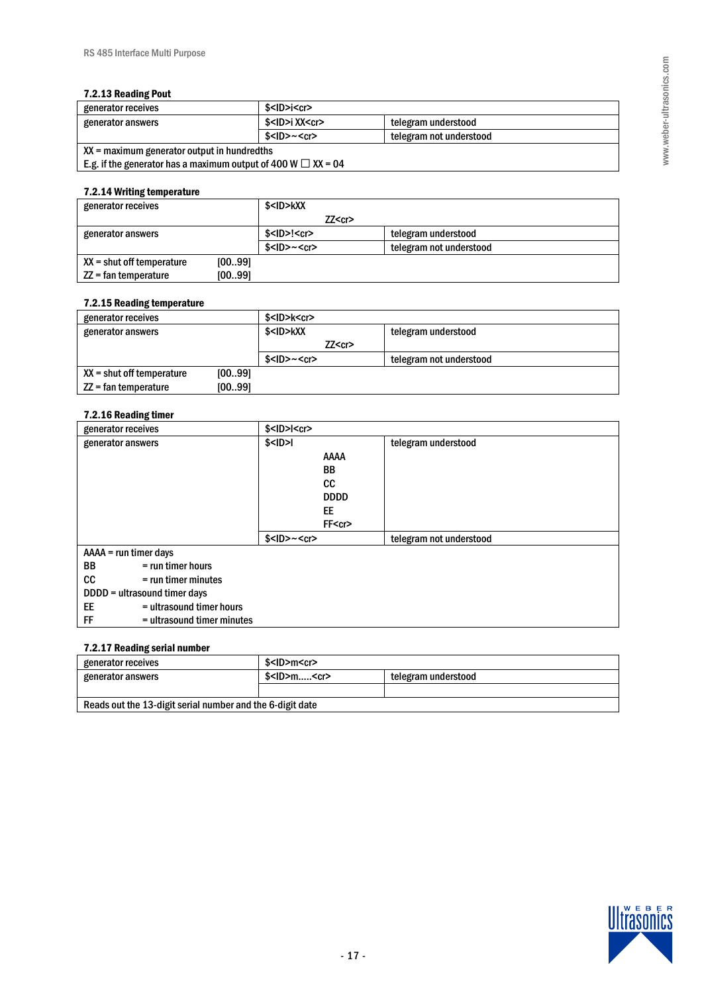#### 7.2.13 Reading Pout

| generator receives                                                   | \$ <id>i<cr></cr></id>    |                         |  |  |
|----------------------------------------------------------------------|---------------------------|-------------------------|--|--|
| generator answers                                                    | \$ <id>i XX<cr></cr></id> | telegram understood     |  |  |
|                                                                      | $$<$ ID>~ $<$ cr>         | telegram not understood |  |  |
| $XX$ = maximum generator output in hundredths                        |                           |                         |  |  |
| E.g. if the generator has a maximum output of 400 W $\omega$ XX = 04 |                           |                         |  |  |

#### 7.2.14 Writing temperature

| generator receives          |        | \$ <id>kXX</id>          |         |                         |  |
|-----------------------------|--------|--------------------------|---------|-------------------------|--|
|                             |        |                          | ZZ < cr |                         |  |
| generator answers           |        | $$<$ ID $>$ ! $<$ cr $>$ |         | telegram understood     |  |
|                             |        | $$<$ ID $>~<$ cr $>$     |         | telegram not understood |  |
| $XX =$ shut off temperature | [0099] |                          |         |                         |  |
| $ZZ = fan$ temperature      | [0099] |                          |         |                         |  |

#### 7.2.15 Reading temperature

| generator receives          |        | \$ <id>k<cr></cr></id> |  |                         |
|-----------------------------|--------|------------------------|--|-------------------------|
| generator answers           |        | \$ <id>kXX</id>        |  | telegram understood     |
|                             |        | ZZ < cr                |  |                         |
|                             |        | $$<$ ID>~ $<$ cr>      |  | telegram not understood |
| $XX =$ shut off temperature | [0099] |                        |  |                         |
| $ZZ = fan$ temperature      | [0099] |                        |  |                         |

## 7.2.16 Reading timer

| generator receives               | $$<$ ID $>$ I $<$ cr $>$ |                         |
|----------------------------------|--------------------------|-------------------------|
| generator answers                | $$<$ ID $>$ I            | telegram understood     |
|                                  | <b>AAAA</b>              |                         |
|                                  | BB                       |                         |
|                                  | cc                       |                         |
|                                  | <b>DDDD</b>              |                         |
|                                  | EE                       |                         |
|                                  | FF <cr></cr>             |                         |
|                                  | $$<$ ID $>~<$ cr $>$     | telegram not understood |
| $AA = run timer days$            |                          |                         |
| BB<br>$=$ run timer hours        |                          |                         |
| cc<br>$=$ run timer minutes      |                          |                         |
| DDDD = ultrasound timer days     |                          |                         |
| EE<br>= ultrasound timer hours   |                          |                         |
| FF<br>= ultrasound timer minutes |                          |                         |

## 7.2.17 Reading serial number

| generator receives                                        | \$ <id>m<cr></cr></id>                   |  |  |  |
|-----------------------------------------------------------|------------------------------------------|--|--|--|
| generator answers                                         | $$<$ ID>m $<$ cr><br>telegram understood |  |  |  |
|                                                           |                                          |  |  |  |
| Reads out the 13-digit serial number and the 6-digit date |                                          |  |  |  |